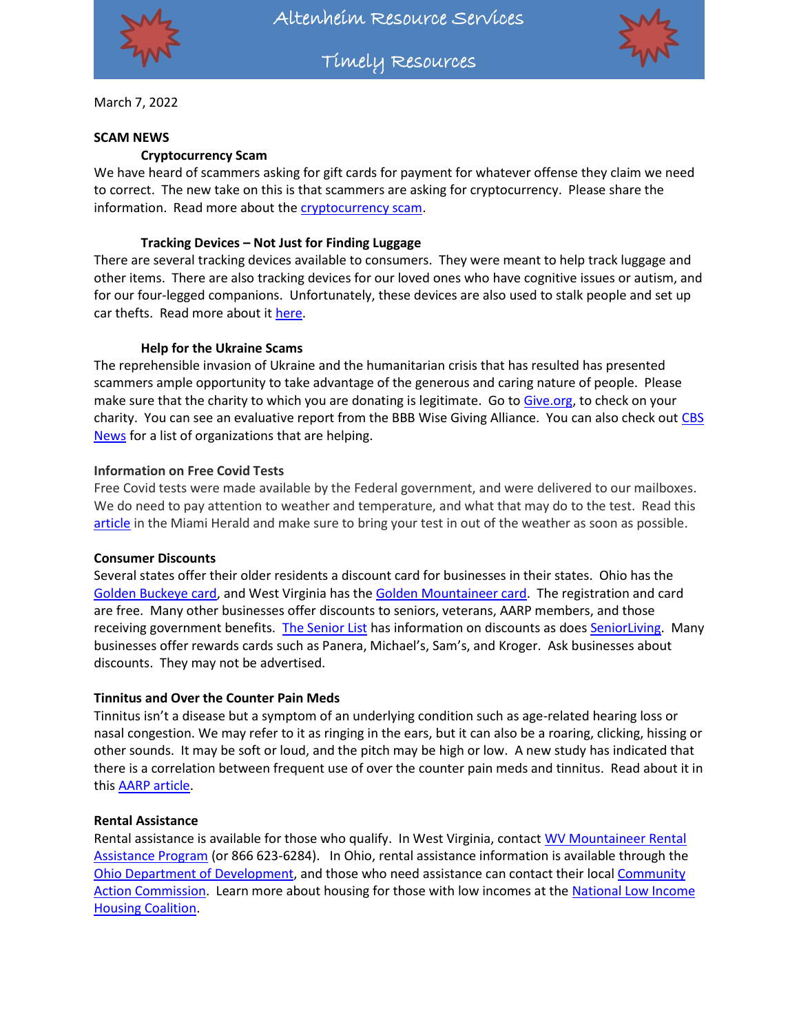

Altenheim Resource Services

Timely Resources



March 7, 2022

#### **SCAM NEWS**

### **Cryptocurrency Scam**

We have heard of scammers asking for gift cards for payment for whatever offense they claim we need to correct. The new take on this is that scammers are asking for cryptocurrency. Please share the information. Read more about th[e cryptocurrency scam.](file:///C:/Users/AKoegler/Desktop/Timely%20Resources%202022/;)

### **Tracking Devices – Not Just for Finding Luggage**

There are several tracking devices available to consumers. They were meant to help track luggage and other items. There are also tracking devices for our loved ones who have cognitive issues or autism, and for our four-legged companions. Unfortunately, these devices are also used to stalk people and set up car thefts. Read more about it [here.](https://www.techsafety.org/location-tracking)

#### **Help for the Ukraine Scams**

The reprehensible invasion of Ukraine and the humanitarian crisis that has resulted has presented scammers ample opportunity to take advantage of the generous and caring nature of people. Please make sure that the charity to which you are donating is legitimate. Go t[o Give.org,](https://give.org/) to check on your charity. You can see an evaluative report from the BBB Wise Giving Alliance. You can also check out CBS [News](https://www.cbsnews.com/news/russia-ukraine-refugees-donations/) for a list of organizations that are helping.

#### **Information on Free Covid Tests**

Free Covid tests were made available by the Federal government, and were delivered to our mailboxes. We do need to pay attention to weather and temperature, and what that may do to the test. Read this [article](https://www.miamiherald.com/news/coronavirus/article257702888.html) in the Miami Herald and make sure to bring your test in out of the weather as soon as possible.

#### **Consumer Discounts**

Several states offer their older residents a discount card for businesses in their states. Ohio has the [Golden Buckeye card,](https://aging.ohio.gov/about-us/learn-about-golden-buckeye/get-a-golden-buckeye-card-1) and West Virginia has the [Golden Mountaineer card.](https://goldenmountaineer.wv.gov/Pages/default.aspx) The registration and card are free. Many other businesses offer discounts to seniors, veterans, AARP members, and those receiving government benefits. [The Senior List](https://www.theseniorlist.com/senior-discounts/) has information on discounts as doe[s SeniorLiving.](https://www.seniorliving.org/finance/senior-discounts/) Many businesses offer rewards cards such as Panera, Michael's, Sam's, and Kroger. Ask businesses about discounts. They may not be advertised.

### **Tinnitus and Over the Counter Pain Meds**

Tinnitus isn't a disease but a symptom of an underlying condition such as age-related hearing loss or nasal congestion. We may refer to it as ringing in the ears, but it can also be a roaring, clicking, hissing or other sounds. It may be soft or loud, and the pitch may be high or low. A new study has indicated that there is a correlation between frequent use of over the counter pain meds and tinnitus. Read about it in this [AARP article.](https://www.aarp.org/health/conditions-treatments/info-2022/otc-medications-tinnitus.html?intcmp=AE-HP-TTN-R4-POS1-REALPOSS-TODAY)

#### **Rental Assistance**

Rental assistance is available for those who qualify. In West Virginia, contact WV Mountaineer Rental [Assistance Program](https://www.wvhdf.com/mountaineer-rental-assistance-program) (or 866 623-6284). In Ohio, rental assistance information is available through the [Ohio Department of Development,](https://businesshelp.ohio.gov/home-relief-grant.html) and those who need assistance can contact their loca[l Community](https://oacaa.org/find-an-agency/#belmont)  [Action Commission.](https://oacaa.org/find-an-agency/#belmont) Learn more about housing for those with low incomes at the [National Low Income](https://nlihc.org/explore-issues/housing-programs/primer)  [Housing Coalition.](https://nlihc.org/explore-issues/housing-programs/primer)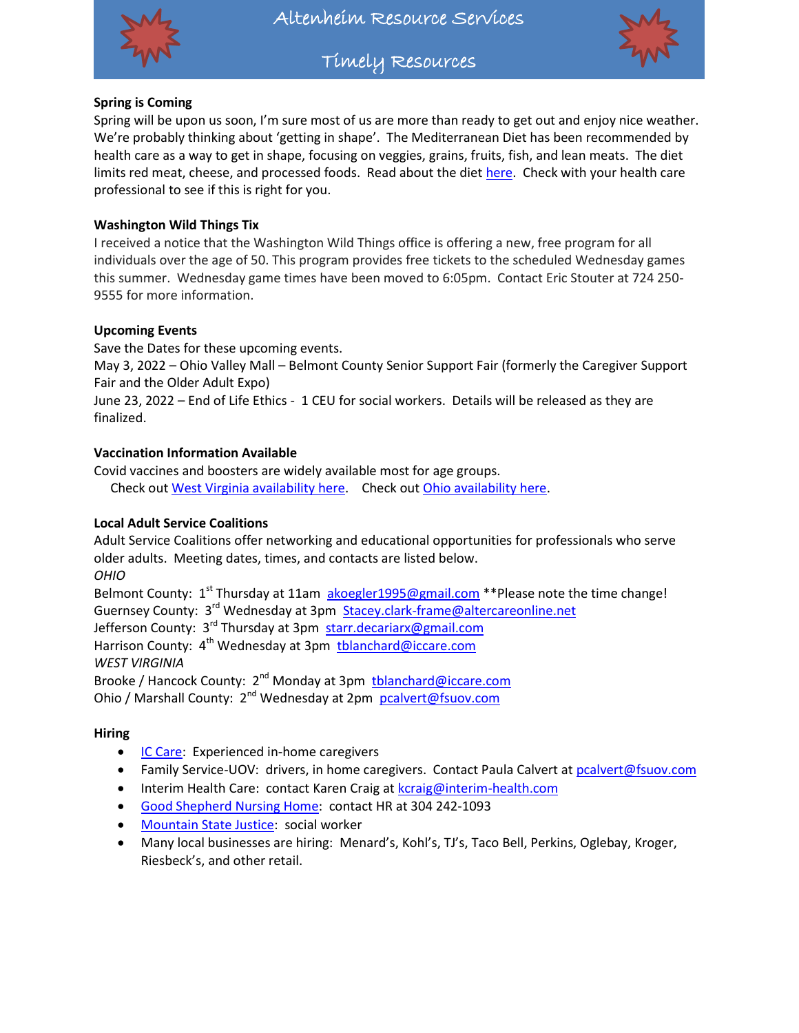

Timely Resources



## **Spring is Coming**

Spring will be upon us soon, I'm sure most of us are more than ready to get out and enjoy nice weather. We're probably thinking about 'getting in shape'. The Mediterranean Diet has been recommended by health care as a way to get in shape, focusing on veggies, grains, fruits, fish, and lean meats. The diet limits red meat, cheese, and processed foods. Read about the diet [here.](https://www.healthline.com/nutrition/mediterranean-diet-meal-plan) Check with your health care professional to see if this is right for you.

## **Washington Wild Things Tix**

I received a notice that the Washington Wild Things office is offering a new, free program for all individuals over the age of 50. This program provides free tickets to the scheduled Wednesday games this summer. Wednesday game times have been moved to 6:05pm. Contact Eric Stouter at 724 250- 9555 for more information.

## **Upcoming Events**

Save the Dates for these upcoming events.

May 3, 2022 – Ohio Valley Mall – Belmont County Senior Support Fair (formerly the Caregiver Support Fair and the Older Adult Expo)

June 23, 2022 – End of Life Ethics - 1 CEU for social workers. Details will be released as they are finalized.

## **Vaccination Information Available**

Covid vaccines and boosters are widely available most for age groups. Check ou[t West Virginia availability here.](https://dhhr.wv.gov/COVID-19/Pages/Vaccine.aspx) Check out [Ohio availability here.](https://coronavirus.ohio.gov/wps/portal/gov/covid-19/covid-19-vaccination-program)

## **Local Adult Service Coalitions**

Adult Service Coalitions offer networking and educational opportunities for professionals who serve older adults. Meeting dates, times, and contacts are listed below. *OHIO*

Belmont County:  $1^{st}$  Thursday at 11am [akoegler1995@gmail.com](mailto:akoegler1995@gmail.com) \*\*Please note the time change! Guernsey County: 3<sup>rd</sup> Wednesday at 3pm [Stacey.clark-frame@altercareonline.net](mailto:Stacey.clark-frame@altercareonline.net) Jefferson County: 3<sup>rd</sup> Thursday at 3pm [starr.decariarx@gmail.com](mailto:starr.decariarx@gmail.com)

Harrison County: 4<sup>th</sup> Wednesday at 3pm thlanchard@iccare.com *WEST VIRGINIA*

Brooke / Hancock County: 2<sup>nd</sup> Monday at 3pm thlanchard@iccare.com

Ohio / Marshall County: 2<sup>nd</sup> Wednesday at 2pm [pcalvert@fsuov.com](mailto:pcalvert@fsuov.com)

## **Hiring**

- **[IC Care:](http://www.iccare.com/hiring/)** Experienced in-home caregivers
- Family Service-UOV: drivers, in home caregivers. Contact Paula Calvert a[t pcalvert@fsuov.com](mailto:pcalvert@fsuov.com)
- Interim Health Care: contact Karen Craig at [kcraig@interim-health.com](mailto:kcraig@interim-health.com)
- [Good Shepherd Nursing Home:](https://weltyhome.org/) contact HR at 304 242-1093
- [Mountain State Justice:](https://mountainstatejustice.org/about/join-our-team/socialworker/?fbclid=IwAR1RosuFIGavwifdMeBC657fcMADHpuG-Fd2J1667hRaQyMOr7BHoI93KW0) social worker
- Many local businesses are hiring: Menard's, Kohl's, TJ's, Taco Bell, Perkins, Oglebay, Kroger, Riesbeck's, and other retail.